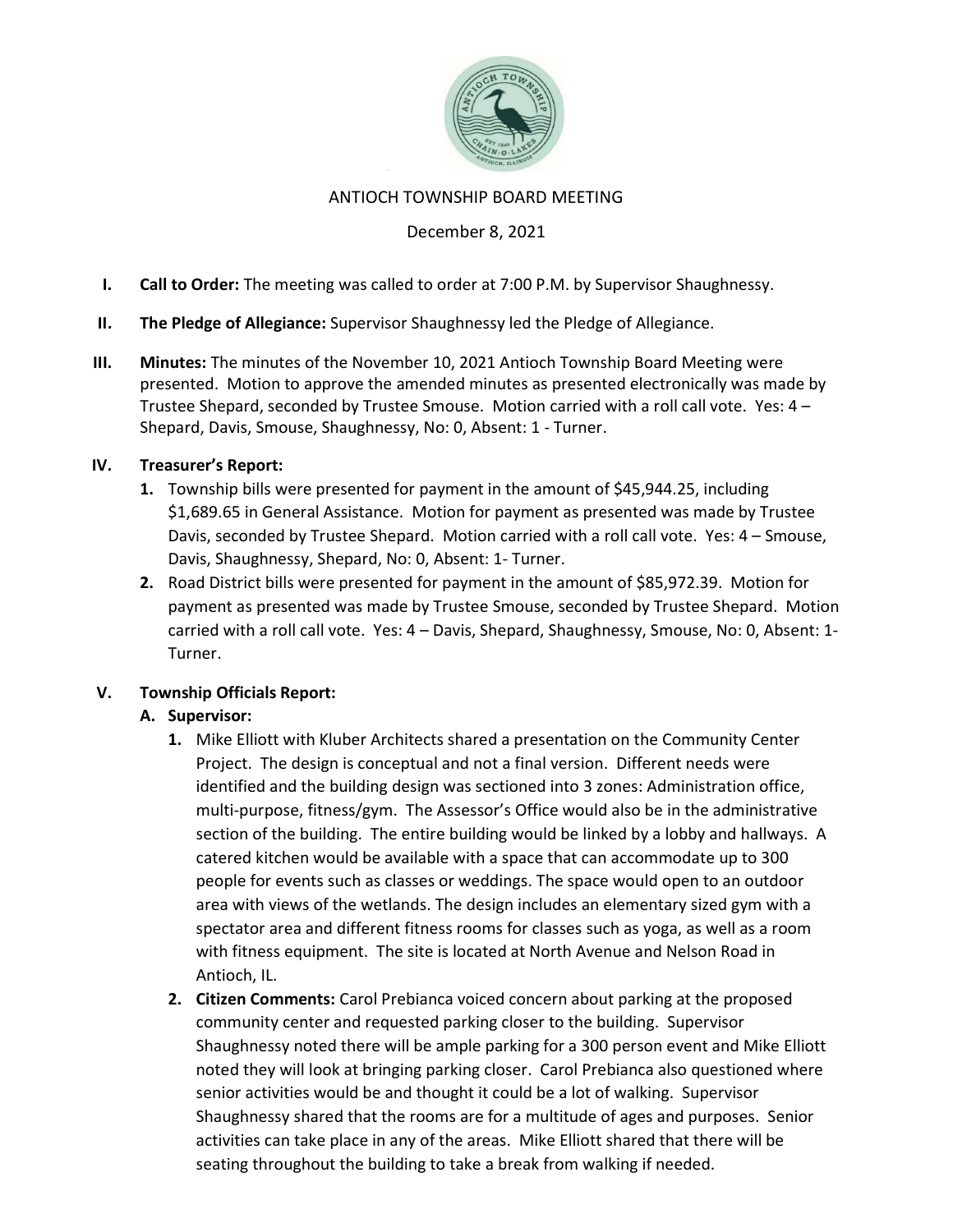

#### ANTIOCH TOWNSHIP BOARD MEETING

### December 8, 2021

- I. Call to Order: The meeting was called to order at 7:00 P.M. by Supervisor Shaughnessy.
- II. The Pledge of Allegiance: Supervisor Shaughnessy led the Pledge of Allegiance.
- III. Minutes: The minutes of the November 10, 2021 Antioch Township Board Meeting were presented. Motion to approve the amended minutes as presented electronically was made by Trustee Shepard, seconded by Trustee Smouse. Motion carried with a roll call vote. Yes: 4 – Shepard, Davis, Smouse, Shaughnessy, No: 0, Absent: 1 - Turner.

#### IV. Treasurer's Report:

- 1. Township bills were presented for payment in the amount of \$45,944.25, including \$1,689.65 in General Assistance. Motion for payment as presented was made by Trustee Davis, seconded by Trustee Shepard. Motion carried with a roll call vote. Yes: 4 – Smouse, Davis, Shaughnessy, Shepard, No: 0, Absent: 1- Turner.
- 2. Road District bills were presented for payment in the amount of \$85,972.39. Motion for payment as presented was made by Trustee Smouse, seconded by Trustee Shepard. Motion carried with a roll call vote. Yes: 4 – Davis, Shepard, Shaughnessy, Smouse, No: 0, Absent: 1- Turner.

#### V. Township Officials Report:

#### A. Supervisor:

- 1. Mike Elliott with Kluber Architects shared a presentation on the Community Center Project. The design is conceptual and not a final version. Different needs were identified and the building design was sectioned into 3 zones: Administration office, multi-purpose, fitness/gym. The Assessor's Office would also be in the administrative section of the building. The entire building would be linked by a lobby and hallways. A catered kitchen would be available with a space that can accommodate up to 300 people for events such as classes or weddings. The space would open to an outdoor area with views of the wetlands. The design includes an elementary sized gym with a spectator area and different fitness rooms for classes such as yoga, as well as a room with fitness equipment. The site is located at North Avenue and Nelson Road in Antioch, IL.
- 2. Citizen Comments: Carol Prebianca voiced concern about parking at the proposed community center and requested parking closer to the building. Supervisor Shaughnessy noted there will be ample parking for a 300 person event and Mike Elliott noted they will look at bringing parking closer. Carol Prebianca also questioned where senior activities would be and thought it could be a lot of walking. Supervisor Shaughnessy shared that the rooms are for a multitude of ages and purposes. Senior activities can take place in any of the areas. Mike Elliott shared that there will be seating throughout the building to take a break from walking if needed.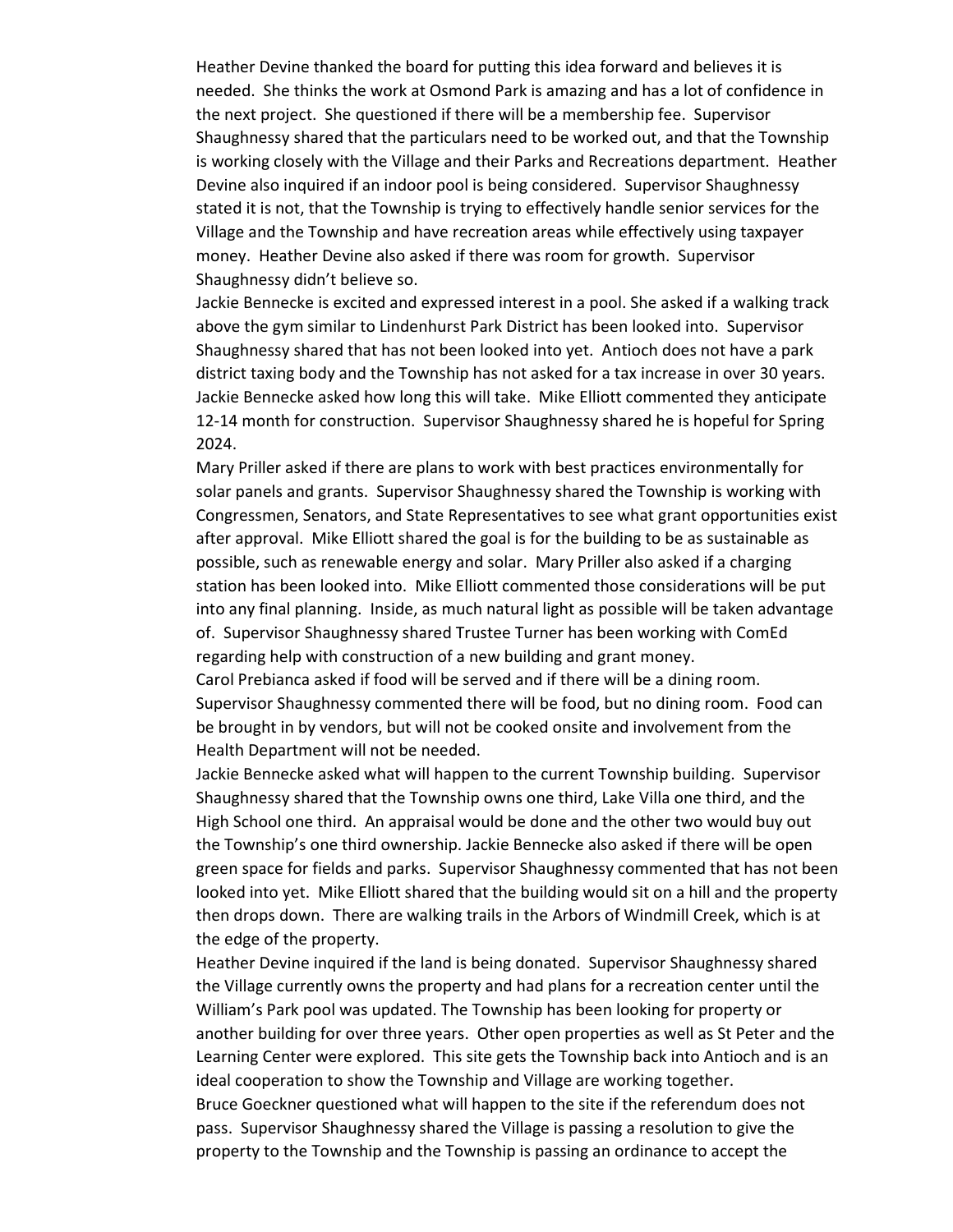Heather Devine thanked the board for putting this idea forward and believes it is needed. She thinks the work at Osmond Park is amazing and has a lot of confidence in the next project. She questioned if there will be a membership fee. Supervisor Shaughnessy shared that the particulars need to be worked out, and that the Township is working closely with the Village and their Parks and Recreations department. Heather Devine also inquired if an indoor pool is being considered. Supervisor Shaughnessy stated it is not, that the Township is trying to effectively handle senior services for the Village and the Township and have recreation areas while effectively using taxpayer money. Heather Devine also asked if there was room for growth. Supervisor Shaughnessy didn't believe so.

Jackie Bennecke is excited and expressed interest in a pool. She asked if a walking track above the gym similar to Lindenhurst Park District has been looked into. Supervisor Shaughnessy shared that has not been looked into yet. Antioch does not have a park district taxing body and the Township has not asked for a tax increase in over 30 years. Jackie Bennecke asked how long this will take. Mike Elliott commented they anticipate 12-14 month for construction. Supervisor Shaughnessy shared he is hopeful for Spring 2024.

Mary Priller asked if there are plans to work with best practices environmentally for solar panels and grants. Supervisor Shaughnessy shared the Township is working with Congressmen, Senators, and State Representatives to see what grant opportunities exist after approval. Mike Elliott shared the goal is for the building to be as sustainable as possible, such as renewable energy and solar. Mary Priller also asked if a charging station has been looked into. Mike Elliott commented those considerations will be put into any final planning. Inside, as much natural light as possible will be taken advantage of. Supervisor Shaughnessy shared Trustee Turner has been working with ComEd regarding help with construction of a new building and grant money.

Carol Prebianca asked if food will be served and if there will be a dining room. Supervisor Shaughnessy commented there will be food, but no dining room. Food can be brought in by vendors, but will not be cooked onsite and involvement from the Health Department will not be needed.

Jackie Bennecke asked what will happen to the current Township building. Supervisor Shaughnessy shared that the Township owns one third, Lake Villa one third, and the High School one third. An appraisal would be done and the other two would buy out the Township's one third ownership. Jackie Bennecke also asked if there will be open green space for fields and parks. Supervisor Shaughnessy commented that has not been looked into yet. Mike Elliott shared that the building would sit on a hill and the property then drops down. There are walking trails in the Arbors of Windmill Creek, which is at the edge of the property.

Heather Devine inquired if the land is being donated. Supervisor Shaughnessy shared the Village currently owns the property and had plans for a recreation center until the William's Park pool was updated. The Township has been looking for property or another building for over three years. Other open properties as well as St Peter and the Learning Center were explored. This site gets the Township back into Antioch and is an ideal cooperation to show the Township and Village are working together. Bruce Goeckner questioned what will happen to the site if the referendum does not pass. Supervisor Shaughnessy shared the Village is passing a resolution to give the property to the Township and the Township is passing an ordinance to accept the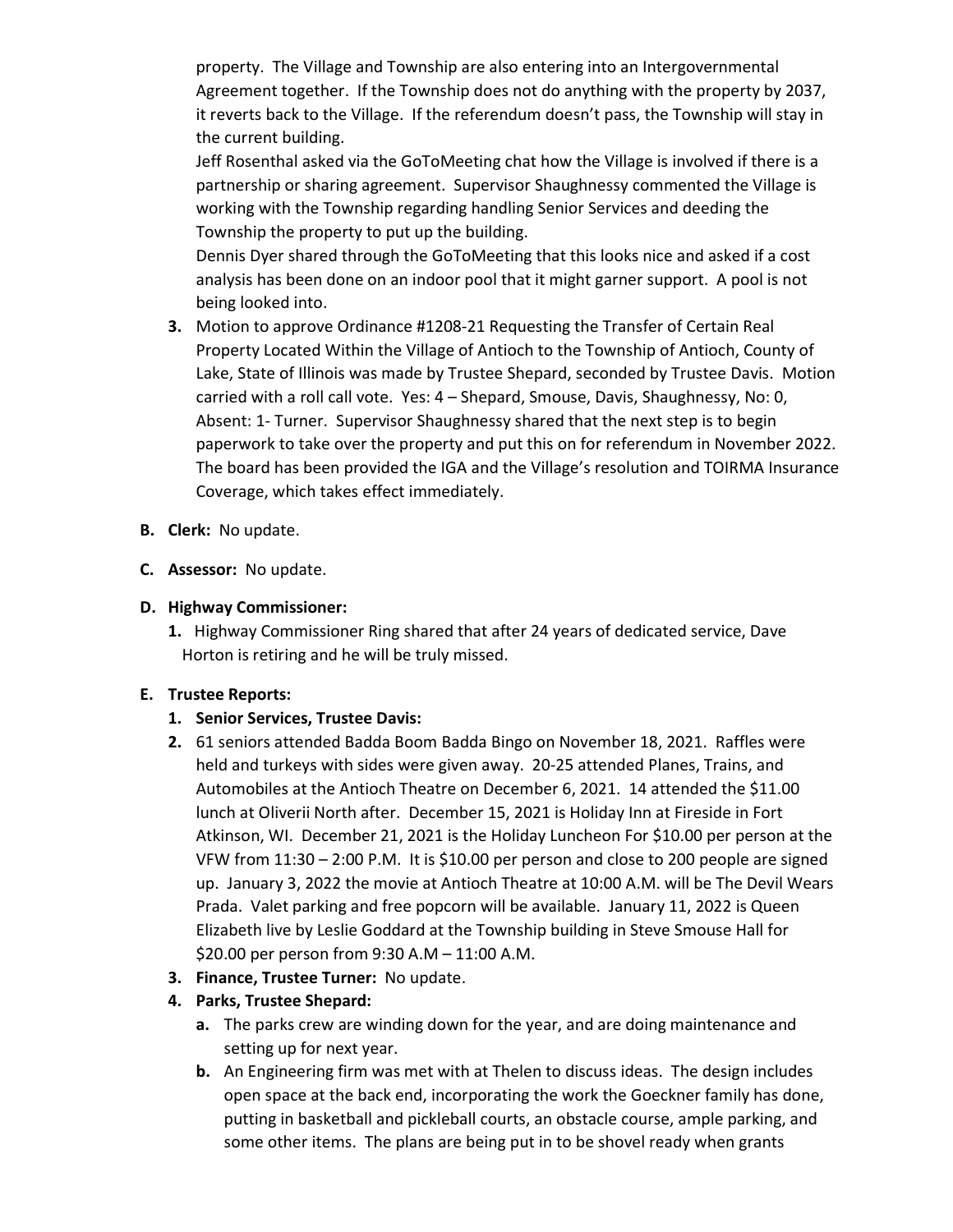property. The Village and Township are also entering into an Intergovernmental Agreement together. If the Township does not do anything with the property by 2037, it reverts back to the Village. If the referendum doesn't pass, the Township will stay in the current building.

Jeff Rosenthal asked via the GoToMeeting chat how the Village is involved if there is a partnership or sharing agreement. Supervisor Shaughnessy commented the Village is working with the Township regarding handling Senior Services and deeding the Township the property to put up the building.

Dennis Dyer shared through the GoToMeeting that this looks nice and asked if a cost analysis has been done on an indoor pool that it might garner support. A pool is not being looked into.

- 3. Motion to approve Ordinance #1208-21 Requesting the Transfer of Certain Real Property Located Within the Village of Antioch to the Township of Antioch, County of Lake, State of Illinois was made by Trustee Shepard, seconded by Trustee Davis. Motion carried with a roll call vote. Yes: 4 – Shepard, Smouse, Davis, Shaughnessy, No: 0, Absent: 1- Turner. Supervisor Shaughnessy shared that the next step is to begin paperwork to take over the property and put this on for referendum in November 2022. The board has been provided the IGA and the Village's resolution and TOIRMA Insurance Coverage, which takes effect immediately.
- B. Clerk: No update.
- C. Assessor: No update.

## D. Highway Commissioner:

1. Highway Commissioner Ring shared that after 24 years of dedicated service, Dave Horton is retiring and he will be truly missed.

#### E. Trustee Reports:

# 1. Senior Services, Trustee Davis:

- 2. 61 seniors attended Badda Boom Badda Bingo on November 18, 2021. Raffles were held and turkeys with sides were given away. 20-25 attended Planes, Trains, and Automobiles at the Antioch Theatre on December 6, 2021. 14 attended the \$11.00 lunch at Oliverii North after. December 15, 2021 is Holiday Inn at Fireside in Fort Atkinson, WI. December 21, 2021 is the Holiday Luncheon For \$10.00 per person at the VFW from 11:30 – 2:00 P.M. It is \$10.00 per person and close to 200 people are signed up. January 3, 2022 the movie at Antioch Theatre at 10:00 A.M. will be The Devil Wears Prada. Valet parking and free popcorn will be available. January 11, 2022 is Queen Elizabeth live by Leslie Goddard at the Township building in Steve Smouse Hall for \$20.00 per person from 9:30 A.M – 11:00 A.M.
- 3. Finance, Trustee Turner: No update.

# 4. Parks, Trustee Shepard:

- a. The parks crew are winding down for the year, and are doing maintenance and setting up for next year.
- b. An Engineering firm was met with at Thelen to discuss ideas. The design includes open space at the back end, incorporating the work the Goeckner family has done, putting in basketball and pickleball courts, an obstacle course, ample parking, and some other items. The plans are being put in to be shovel ready when grants